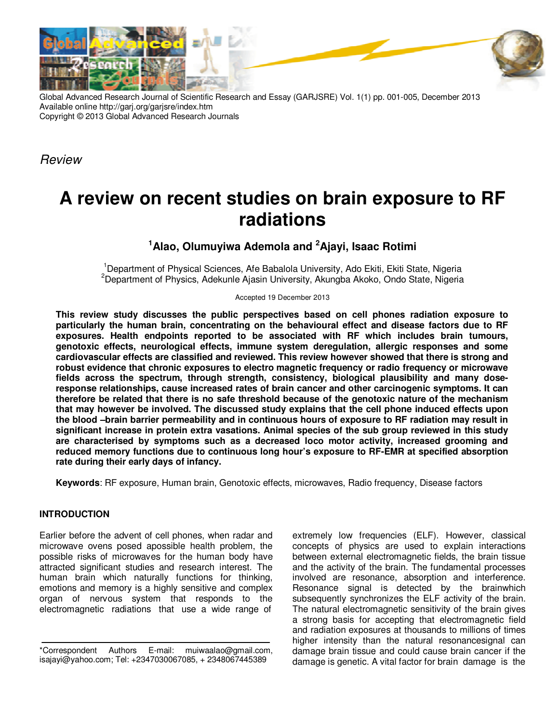

Global Advanced Research Journal of Scientific Research and Essay (GARJSRE) Vol. 1(1) pp. 001-005, December 2013 Available online http://garj.org/garjsre/index.htm Copyright © 2013 Global Advanced Research Journals

**Review** 

# **A review on recent studies on brain exposure to RF radiations**

**<sup>1</sup>Alao, Olumuyiwa Ademola and <sup>2</sup>Ajayi, Isaac Rotimi** 

<sup>1</sup>Department of Physical Sciences, Afe Babalola University, Ado Ekiti, Ekiti State, Nigeria <sup>2</sup>Department of Physics, Adekunle Ajasin University, Akungba Akoko, Ondo State, Nigeria

Accepted 19 December 2013

**This review study discusses the public perspectives based on cell phones radiation exposure to particularly the human brain, concentrating on the behavioural effect and disease factors due to RF exposures. Health endpoints reported to be associated with RF which includes brain tumours, genotoxic effects, neurological effects, immune system deregulation, allergic responses and some cardiovascular effects are classified and reviewed. This review however showed that there is strong and robust evidence that chronic exposures to electro magnetic frequency or radio frequency or microwave fields across the spectrum, through strength, consistency, biological plausibility and many doseresponse relationships, cause increased rates of brain cancer and other carcinogenic symptoms. It can therefore be related that there is no safe threshold because of the genotoxic nature of the mechanism that may however be involved. The discussed study explains that the cell phone induced effects upon the blood –brain barrier permeability and in continuous hours of exposure to RF radiation may result in significant increase in protein extra vasations. Animal species of the sub group reviewed in this study are characterised by symptoms such as a decreased loco motor activity, increased grooming and reduced memory functions due to continuous long hour's exposure to RF-EMR at specified absorption rate during their early days of infancy.** 

**Keywords**: RF exposure, Human brain, Genotoxic effects, microwaves, Radio frequency, Disease factors

# **INTRODUCTION**

Earlier before the advent of cell phones, when radar and microwave ovens posed apossible health problem, the possible risks of microwaves for the human body have attracted significant studies and research interest. The human brain which naturally functions for thinking, emotions and memory is a highly sensitive and complex organ of nervous system that responds to the electromagnetic radiations that use a wide range of

extremely low frequencies (ELF). However, classical concepts of physics are used to explain interactions between external electromagnetic fields, the brain tissue and the activity of the brain. The fundamental processes involved are resonance, absorption and interference. Resonance signal is detected by the brainwhich subsequently synchronizes the ELF activity of the brain. The natural electromagnetic sensitivity of the brain gives a strong basis for accepting that electromagnetic field and radiation exposures at thousands to millions of times higher intensity than the natural resonancesignal can damage brain tissue and could cause brain cancer if the damage is genetic. A vital factor for brain damage is the

<sup>\*</sup>Correspondent Authors E-mail: muiwaalao@gmail.com, isajayi@yahoo.com; Tel: +2347030067085, + 2348067445389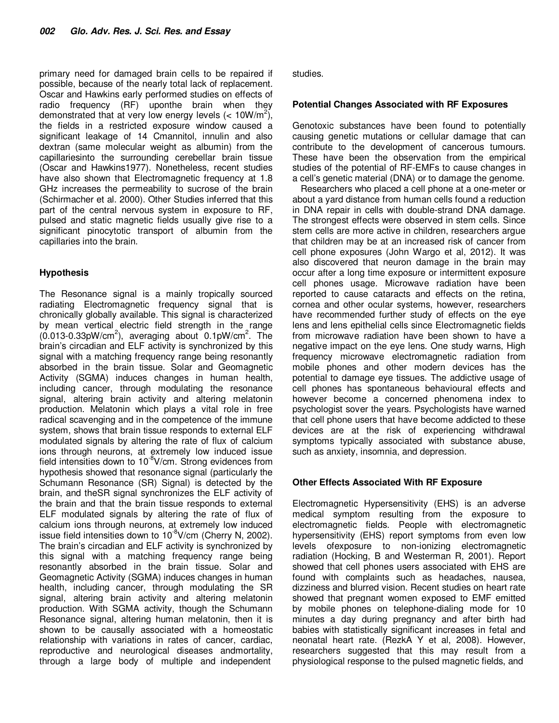primary need for damaged brain cells to be repaired if possible, because of the nearly total lack of replacement. Oscar and Hawkins early performed studies on effects of radio frequency (RF) uponthe brain when they demonstrated that at very low energy levels (<  $10W/m^2$ ), the fields in a restricted exposure window caused a significant leakage of 14 Cmannitol, innulin and also dextran (same molecular weight as albumin) from the capillariesinto the surrounding cerebellar brain tissue (Oscar and Hawkins1977). Nonetheless, recent studies have also shown that Electromagnetic frequency at 1.8 GHz increases the permeability to sucrose of the brain (Schirmacher et al. 2000). Other Studies inferred that this part of the central nervous system in exposure to RF, pulsed and static magnetic fields usually give rise to a significant pinocytotic transport of albumin from the capillaries into the brain.

# **Hypothesis**

The Resonance signal is a mainly tropically sourced radiating Electromagnetic frequency signal that is chronically globally available. This signal is characterized by mean vertical electric field strength in the range  $(0.013{\text -}0.33 \text{pW/cm}^2)$ , averaging about  $0.1 \text{pW/cm}^2$ . The brain's circadian and ELF activity is synchronized by this signal with a matching frequency range being resonantly absorbed in the brain tissue. Solar and Geomagnetic Activity (SGMA) induces changes in human health, including cancer, through modulating the resonance signal, altering brain activity and altering melatonin production. Melatonin which plays a vital role in free radical scavenging and in the competence of the immune system, shows that brain tissue responds to external ELF modulated signals by altering the rate of flux of calcium ions through neurons, at extremely low induced issue field intensities down to  $10^{-8}$ V/cm. Strong evidences from hypothesis showed that resonance signal (particularly the Schumann Resonance (SR) Signal) is detected by the brain, and theSR signal synchronizes the ELF activity of the brain and that the brain tissue responds to external ELF modulated signals by altering the rate of flux of calcium ions through neurons, at extremely low induced issue field intensities down to  $10^{-8}$ V/cm (Cherry N, 2002). The brain's circadian and ELF activity is synchronized by this signal with a matching frequency range being resonantly absorbed in the brain tissue. Solar and Geomagnetic Activity (SGMA) induces changes in human health, including cancer, through modulating the SR signal, altering brain activity and altering melatonin production. With SGMA activity, though the Schumann Resonance signal, altering human melatonin, then it is shown to be causally associated with a homeostatic relationship with variations in rates of cancer, cardiac, reproductive and neurological diseases andmortality, through a large body of multiple and independent

studies.

### **Potential Changes Associated with RF Exposures**

Genotoxic substances have been found to potentially causing genetic mutations or cellular damage that can contribute to the development of cancerous tumours. These have been the observation from the empirical studies of the potential of RF-EMFs to cause changes in a cell's genetic material (DNA) or to damage the genome.

Researchers who placed a cell phone at a one-meter or about a yard distance from human cells found a reduction in DNA repair in cells with double-strand DNA damage. The strongest effects were observed in stem cells. Since stem cells are more active in children, researchers argue that children may be at an increased risk of cancer from cell phone exposures (John Wargo et al, 2012). It was also discovered that neuron damage in the brain may occur after a long time exposure or intermittent exposure cell phones usage. Microwave radiation have been reported to cause cataracts and effects on the retina, cornea and other ocular systems, however, researchers have recommended further study of effects on the eye lens and lens epithelial cells since Electromagnetic fields from microwave radiation have been shown to have a negative impact on the eye lens. One study warns, High frequency microwave electromagnetic radiation from mobile phones and other modern devices has the potential to damage eye tissues. The addictive usage of cell phones has spontaneous behavioural effects and however become a concerned phenomena index to psychologist sover the years. Psychologists have warned that cell phone users that have become addicted to these devices are at the risk of experiencing withdrawal symptoms typically associated with substance abuse, such as anxiety, insomnia, and depression.

## **Other Effects Associated With RF Exposure**

Electromagnetic Hypersensitivity (EHS) is an adverse medical symptom resulting from the exposure to electromagnetic fields. People with electromagnetic hypersensitivity (EHS) report symptoms from even low levels ofexposure to non-ionizing electromagnetic radiation (Hocking, B and Westerman R, 2001). Report showed that cell phones users associated with EHS are found with complaints such as headaches, nausea, dizziness and blurred vision. Recent studies on heart rate showed that pregnant women exposed to EMF emitted by mobile phones on telephone-dialing mode for 10 minutes a day during pregnancy and after birth had babies with statistically significant increases in fetal and neonatal heart rate. (RezkA Y et al, 2008). However, researchers suggested that this may result from a physiological response to the pulsed magnetic fields, and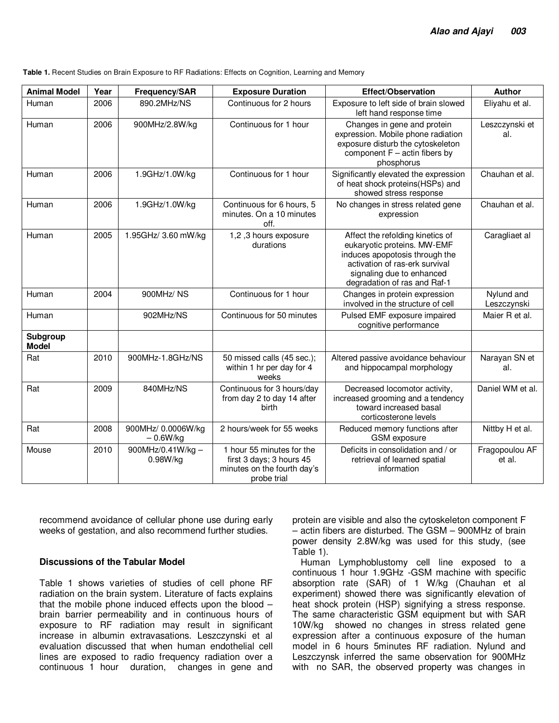| Table 1. Recent Studies on Brain Exposure to RF Radiations: Effects on Cognition, Learning and Memory |  |
|-------------------------------------------------------------------------------------------------------|--|
|-------------------------------------------------------------------------------------------------------|--|

| <b>Animal Model</b>      | Year | Frequency/SAR                    | <b>Exposure Duration</b>                                                                            | Effect/Observation                                                                                                                                                                               | <b>Author</b>             |
|--------------------------|------|----------------------------------|-----------------------------------------------------------------------------------------------------|--------------------------------------------------------------------------------------------------------------------------------------------------------------------------------------------------|---------------------------|
| Human                    | 2006 | 890.2MHz/NS                      | Continuous for 2 hours                                                                              | Exposure to left side of brain slowed<br>left hand response time                                                                                                                                 | Eliyahu et al.            |
| Human                    | 2006 | 900MHz/2.8W/kg                   | Continuous for 1 hour                                                                               | Changes in gene and protein<br>expression. Mobile phone radiation<br>exposure disturb the cytoskeleton<br>component $F - actin$ fibers by<br>phosphorus                                          | Leszczynski et<br>al.     |
| Human                    | 2006 | 1.9GHz/1.0W/kg                   | Continuous for 1 hour                                                                               | Significantly elevated the expression<br>of heat shock proteins (HSPs) and<br>showed stress response                                                                                             | Chauhan et al.            |
| Human                    | 2006 | 1.9GHz/1.0W/kg                   | Continuous for 6 hours, 5<br>minutes. On a 10 minutes<br>off.                                       | No changes in stress related gene<br>expression                                                                                                                                                  | Chauhan et al.            |
| Human                    | 2005 | 1.95GHz/ 3.60 mW/kg              | 1,2,3 hours exposure<br>durations                                                                   | Affect the refolding kinetics of<br>eukaryotic proteins. MW-EMF<br>induces apopotosis through the<br>activation of ras-erk survival<br>signaling due to enhanced<br>degradation of ras and Raf-1 | Caragliaet al             |
| Human                    | 2004 | 900MHz/NS                        | Continuous for 1 hour                                                                               | Changes in protein expression<br>involved in the structure of cell                                                                                                                               | Nylund and<br>Leszczynski |
| Human                    |      | 902MHz/NS                        | Continuous for 50 minutes                                                                           | Pulsed EMF exposure impaired<br>cognitive performance                                                                                                                                            | Maier R et al.            |
| Subgroup<br><b>Model</b> |      |                                  |                                                                                                     |                                                                                                                                                                                                  |                           |
| Rat                      | 2010 | 900MHz-1.8GHz/NS                 | 50 missed calls (45 sec.);<br>within 1 hr per day for 4<br>weeks                                    | Altered passive avoidance behaviour<br>and hippocampal morphology                                                                                                                                | Narayan SN et<br>al.      |
| Rat                      | 2009 | 840MHz/NS                        | Continuous for 3 hours/day<br>from day 2 to day 14 after<br><b>birth</b>                            | Decreased locomotor activity,<br>increased grooming and a tendency<br>toward increased basal<br>corticosterone levels                                                                            | Daniel WM et al.          |
| Rat                      | 2008 | 900MHz/ 0.0006W/kg<br>$-0.6W/kg$ | 2 hours/week for 55 weeks                                                                           | Reduced memory functions after<br><b>GSM</b> exposure                                                                                                                                            | Nittby H et al.           |
| Mouse                    | 2010 | 900MHz/0.41W/kg -<br>0.98W/kg    | 1 hour 55 minutes for the<br>first 3 days; 3 hours 45<br>minutes on the fourth day's<br>probe trial | Deficits in consolidation and / or<br>retrieval of learned spatial<br>information                                                                                                                | Fragopoulou AF<br>et al.  |

recommend avoidance of cellular phone use during early weeks of gestation, and also recommend further studies.

#### **Discussions of the Tabular Model**

Table 1 shows varieties of studies of cell phone RF radiation on the brain system. Literature of facts explains that the mobile phone induced effects upon the blood – brain barrier permeability and in continuous hours of exposure to RF radiation may result in significant increase in albumin extravasations. Leszczynski et al evaluation discussed that when human endothelial cell lines are exposed to radio frequency radiation over a continuous 1 hour duration, changes in gene and

protein are visible and also the cytoskeleton component F – actin fibers are disturbed. The GSM – 900MHz of brain power density 2.8W/kg was used for this study, (see Table 1).

Human Lymphoblustomy cell line exposed to a continuous 1 hour 1.9GHz -GSM machine with specific absorption rate (SAR) of 1 W/kg (Chauhan et al experiment) showed there was significantly elevation of heat shock protein (HSP) signifying a stress response. The same characteristic GSM equipment but with SAR 10W/kg showed no changes in stress related gene expression after a continuous exposure of the human model in 6 hours 5minutes RF radiation. Nylund and Leszczynsk inferred the same observation for 900MHz with no SAR, the observed property was changes in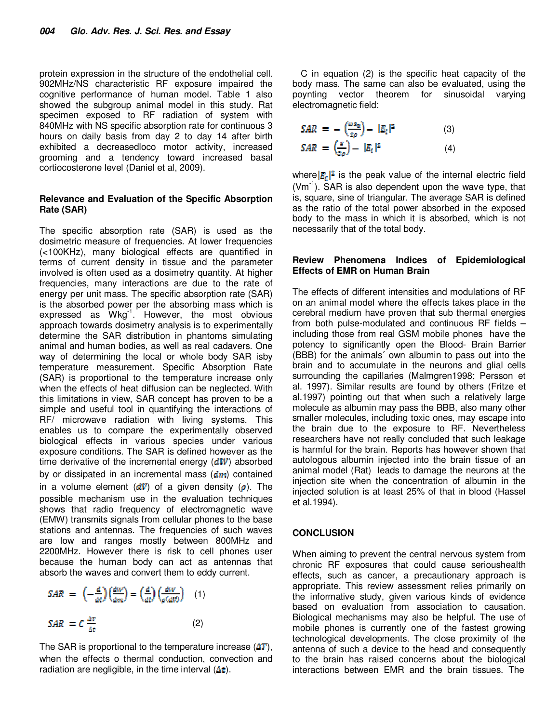protein expression in the structure of the endothelial cell. 902MHz/NS characteristic RF exposure impaired the cognitive performance of human model. Table 1 also showed the subgroup animal model in this study. Rat specimen exposed to RF radiation of system with 840MHz with NS specific absorption rate for continuous 3 hours on daily basis from day 2 to day 14 after birth exhibited a decreasedloco motor activity, increased grooming and a tendency toward increased basal cortiocosterone level (Daniel et al, 2009).

#### **Relevance and Evaluation of the Specific Absorption Rate (SAR)**

The specific absorption rate (SAR) is used as the dosimetric measure of frequencies. At lower frequencies (<100KHz), many biological effects are quantified in terms of current density in tissue and the parameter involved is often used as a dosimetry quantity. At higher frequencies, many interactions are due to the rate of energy per unit mass. The specific absorption rate (SAR) is the absorbed power per the absorbing mass which is expressed as Wkg<sup>-1</sup>. However, the most obvious approach towards dosimetry analysis is to experimentally determine the SAR distribution in phantoms simulating animal and human bodies, as well as real cadavers. One way of determining the local or whole body SAR isby temperature measurement. Specific Absorption Rate (SAR) is proportional to the temperature increase only when the effects of heat diffusion can be neglected. With this limitations in view, SAR concept has proven to be a simple and useful tool in quantifying the interactions of RF/ microwave radiation with living systems. This enables us to compare the experimentally observed biological effects in various species under various exposure conditions. The SAR is defined however as the time derivative of the incremental energy  $(dW)$  absorbed by or dissipated in an incremental mass  $(dm)$  contained in a volume element  $(dV)$  of a given density  $(\rho)$ . The possible mechanism use in the evaluation techniques shows that radio frequency of electromagnetic wave (EMW) transmits signals from cellular phones to the base stations and antennas. The frequencies of such waves are low and ranges mostly between 800MHz and 2200MHz. However there is risk to cell phones user because the human body can act as antennas that absorb the waves and convert them to eddy current.

$$
SAR = \left(-\frac{d}{dt}\right)\left(\frac{dW}{dm}\right) = \left(\frac{d}{dt}\right)\left(\frac{dW}{\rho(dV)}\right) \quad (1)
$$
  

$$
SAR = C \frac{\Delta T}{dr} \quad (2)
$$

The SAR is proportional to the temperature increase  $(AT)$ , when the effects o thermal conduction, convection and radiation are negligible, in the time interval  $(\Delta t)$ .

C in equation (2) is the specific heat capacity of the body mass. The same can also be evaluated, using the poynting vector theorem for sinusoidal varying electromagnetic field:

$$
SAR = -\left(\frac{\omega \varepsilon_0}{2\rho}\right) - |E_i|^2 \tag{3}
$$
  

$$
SAR = \left(\frac{\varepsilon}{\varepsilon_0}\right) - |E_i|^2 \tag{4}
$$

where  $\mathbb{E}_{\mathbb{F}}|^2$  is the peak value of the internal electric field  $(Vm^{-1})$ . SAR is also dependent upon the wave type, that is, square, sine of triangular. The average SAR is defined as the ratio of the total power absorbed in the exposed body to the mass in which it is absorbed, which is not necessarily that of the total body.

#### **Review Phenomena Indices of Epidemiological Effects of EMR on Human Brain**

The effects of different intensities and modulations of RF on an animal model where the effects takes place in the cerebral medium have proven that sub thermal energies from both pulse-modulated and continuous RF fields – including those from real GSM mobile phones have the potency to significantly open the Blood- Brain Barrier (BBB) for the animals´ own albumin to pass out into the brain and to accumulate in the neurons and glial cells surrounding the capillaries (Malmgren1998; Persson et al. 1997). Similar results are found by others (Fritze et al.1997) pointing out that when such a relatively large molecule as albumin may pass the BBB, also many other smaller molecules, including toxic ones, may escape into the brain due to the exposure to RF. Nevertheless researchers have not really concluded that such leakage is harmful for the brain. Reports has however shown that autologous albumin injected into the brain tissue of an animal model (Rat) leads to damage the neurons at the injection site when the concentration of albumin in the injected solution is at least 25% of that in blood (Hassel et al.1994).

#### **CONCLUSION**

When aiming to prevent the central nervous system from chronic RF exposures that could cause serioushealth effects, such as cancer, a precautionary approach is appropriate. This review assessment relies primarily on the informative study, given various kinds of evidence based on evaluation from association to causation. Biological mechanisms may also be helpful. The use of mobile phones is currently one of the fastest growing technological developments. The close proximity of the antenna of such a device to the head and consequently to the brain has raised concerns about the biological interactions between EMR and the brain tissues. The